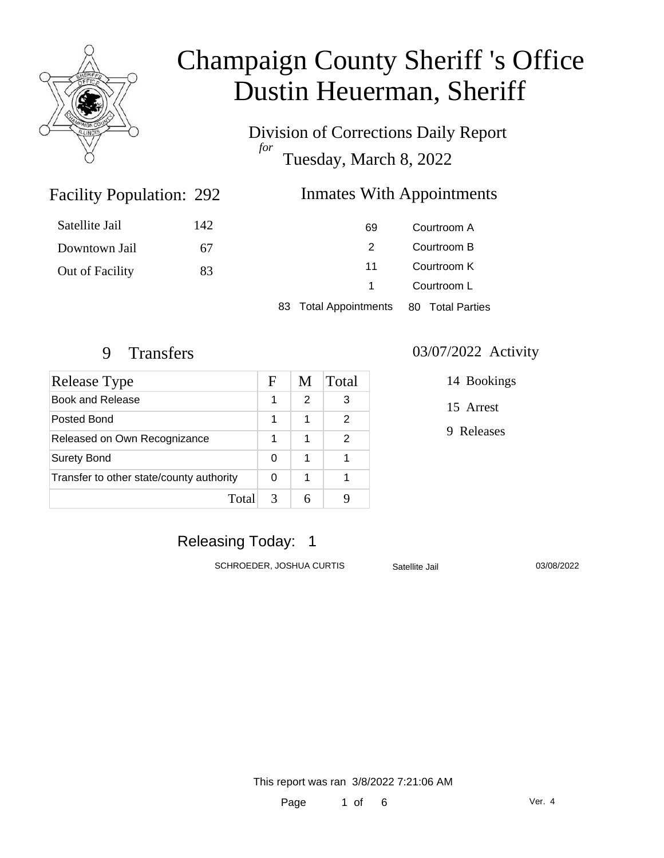

Division of Corrections Daily Report *for* Tuesday, March 8, 2022

### Inmates With Appointments

| Satellite Jail  | 142 |  | 69                    |             | Courtroom A      |
|-----------------|-----|--|-----------------------|-------------|------------------|
| Downtown Jail   | 67  |  | 2                     |             | Courtroom B      |
| Out of Facility | 83  |  | 11                    | Courtroom K |                  |
|                 |     |  |                       | Courtroom L |                  |
|                 |     |  | 83 Total Appointments |             | 80 Total Parties |

Facility Population: 292

| Release Type                             | F | M             | Total |
|------------------------------------------|---|---------------|-------|
| Book and Release                         | 1 | $\mathcal{P}$ | 3     |
| Posted Bond                              | 1 | 1             | 2     |
| Released on Own Recognizance             | 1 | 1             | 2     |
| <b>Surety Bond</b>                       |   | 1             |       |
| Transfer to other state/county authority |   | 1             |       |
| Total                                    | 3 |               |       |

#### 9 Transfers 03/07/2022 Activity

14 Bookings

15 Arrest

9 Releases

### Releasing Today: 1

SCHROEDER, JOSHUA CURTIS Satellite Jail 03/08/2022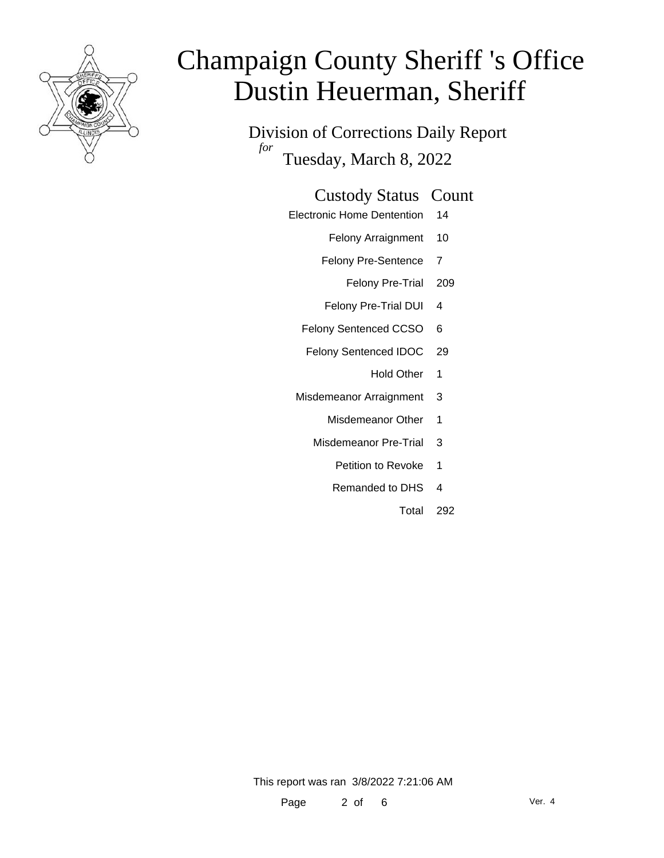

Division of Corrections Daily Report *for* Tuesday, March 8, 2022

### Custody Status Count

- Electronic Home Dentention 14
	- Felony Arraignment 10
	- Felony Pre-Sentence 7
		- Felony Pre-Trial 209
	- Felony Pre-Trial DUI 4
	- Felony Sentenced CCSO 6
	- Felony Sentenced IDOC 29
		- Hold Other 1
	- Misdemeanor Arraignment 3
		- Misdemeanor Other 1
		- Misdemeanor Pre-Trial 3
			- Petition to Revoke 1
			- Remanded to DHS 4
				- Total 292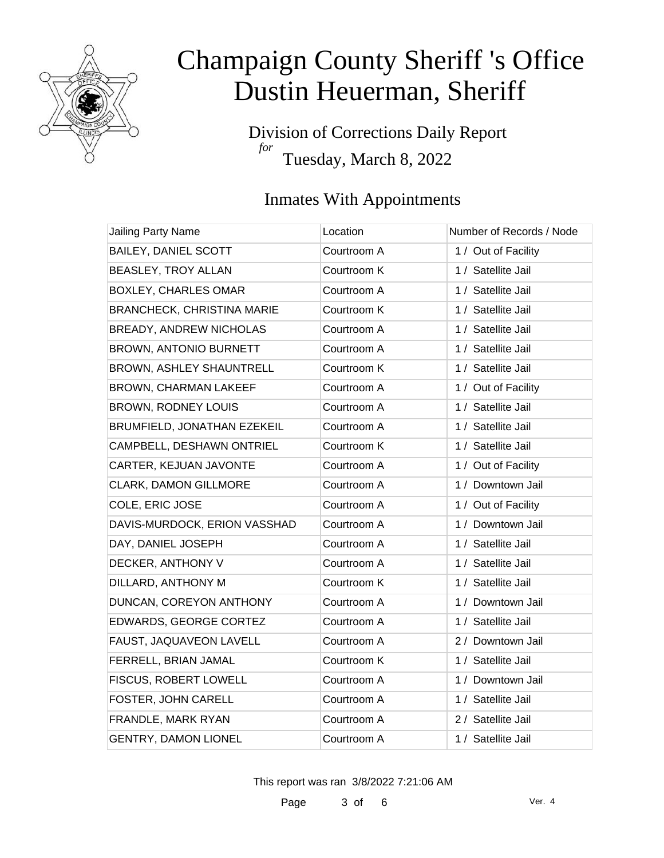

Division of Corrections Daily Report *for* Tuesday, March 8, 2022

### Inmates With Appointments

| Jailing Party Name                | Location    | Number of Records / Node |
|-----------------------------------|-------------|--------------------------|
| <b>BAILEY, DANIEL SCOTT</b>       | Courtroom A | 1 / Out of Facility      |
| BEASLEY, TROY ALLAN               | Courtroom K | 1 / Satellite Jail       |
| <b>BOXLEY, CHARLES OMAR</b>       | Courtroom A | 1 / Satellite Jail       |
| <b>BRANCHECK, CHRISTINA MARIE</b> | Courtroom K | 1 / Satellite Jail       |
| BREADY, ANDREW NICHOLAS           | Courtroom A | 1 / Satellite Jail       |
| BROWN, ANTONIO BURNETT            | Courtroom A | 1 / Satellite Jail       |
| BROWN, ASHLEY SHAUNTRELL          | Courtroom K | 1 / Satellite Jail       |
| BROWN, CHARMAN LAKEEF             | Courtroom A | 1 / Out of Facility      |
| BROWN, RODNEY LOUIS               | Courtroom A | 1 / Satellite Jail       |
| BRUMFIELD, JONATHAN EZEKEIL       | Courtroom A | 1 / Satellite Jail       |
| CAMPBELL, DESHAWN ONTRIEL         | Courtroom K | 1 / Satellite Jail       |
| CARTER, KEJUAN JAVONTE            | Courtroom A | 1 / Out of Facility      |
| CLARK, DAMON GILLMORE             | Courtroom A | 1 / Downtown Jail        |
| COLE, ERIC JOSE                   | Courtroom A | 1 / Out of Facility      |
| DAVIS-MURDOCK, ERION VASSHAD      | Courtroom A | 1 / Downtown Jail        |
| DAY, DANIEL JOSEPH                | Courtroom A | 1 / Satellite Jail       |
| DECKER, ANTHONY V                 | Courtroom A | 1 / Satellite Jail       |
| DILLARD, ANTHONY M                | Courtroom K | 1 / Satellite Jail       |
| DUNCAN, COREYON ANTHONY           | Courtroom A | 1 / Downtown Jail        |
| EDWARDS, GEORGE CORTEZ            | Courtroom A | 1 / Satellite Jail       |
| FAUST, JAQUAVEON LAVELL           | Courtroom A | 2 / Downtown Jail        |
| FERRELL, BRIAN JAMAL              | Courtroom K | 1 / Satellite Jail       |
| FISCUS, ROBERT LOWELL             | Courtroom A | 1 / Downtown Jail        |
| FOSTER, JOHN CARELL               | Courtroom A | 1 / Satellite Jail       |
| FRANDLE, MARK RYAN                | Courtroom A | 2 / Satellite Jail       |
| <b>GENTRY, DAMON LIONEL</b>       | Courtroom A | 1 / Satellite Jail       |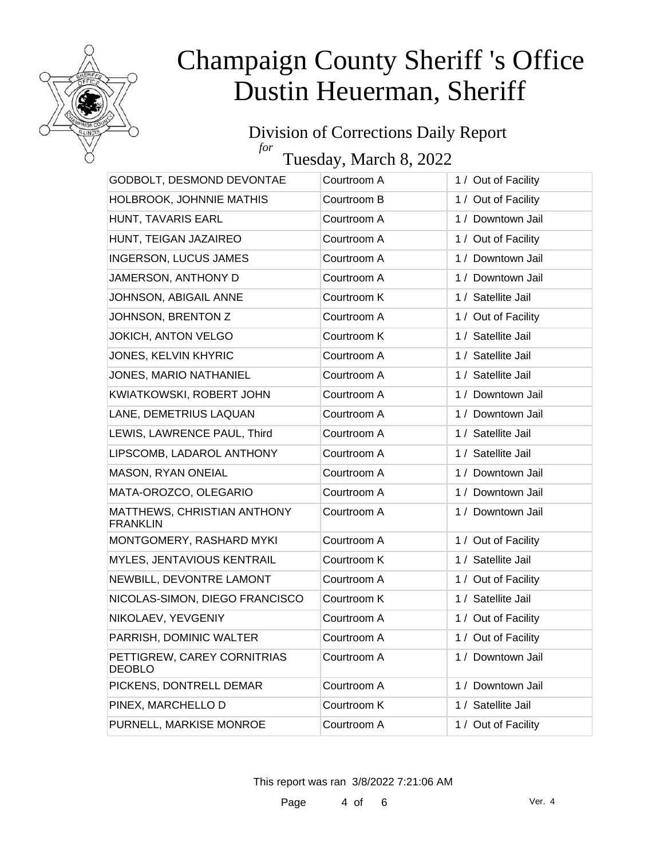

### Division of Corrections Daily Report *for*

Tuesday, March 8, 2022

| GODBOLT, DESMOND DEVONTAE                      | Courtroom A | 1 / Out of Facility |
|------------------------------------------------|-------------|---------------------|
| HOLBROOK, JOHNNIE MATHIS                       | Courtroom B | 1 / Out of Facility |
| HUNT, TAVARIS EARL                             | Courtroom A | 1 / Downtown Jail   |
| HUNT, TEIGAN JAZAIREO                          | Courtroom A | 1 / Out of Facility |
| <b>INGERSON, LUCUS JAMES</b>                   | Courtroom A | 1 / Downtown Jail   |
| JAMERSON, ANTHONY D                            | Courtroom A | 1 / Downtown Jail   |
| JOHNSON, ABIGAIL ANNE                          | Courtroom K | 1 / Satellite Jail  |
| JOHNSON, BRENTON Z                             | Courtroom A | 1 / Out of Facility |
| JOKICH, ANTON VELGO                            | Courtroom K | 1 / Satellite Jail  |
| JONES, KELVIN KHYRIC                           | Courtroom A | 1 / Satellite Jail  |
| JONES, MARIO NATHANIEL                         | Courtroom A | 1 / Satellite Jail  |
| KWIATKOWSKI, ROBERT JOHN                       | Courtroom A | 1 / Downtown Jail   |
| LANE, DEMETRIUS LAQUAN                         | Courtroom A | 1 / Downtown Jail   |
| LEWIS, LAWRENCE PAUL, Third                    | Courtroom A | 1 / Satellite Jail  |
| LIPSCOMB, LADAROL ANTHONY                      | Courtroom A | 1 / Satellite Jail  |
| MASON, RYAN ONEIAL                             | Courtroom A | 1 / Downtown Jail   |
| MATA-OROZCO, OLEGARIO                          | Courtroom A | 1 / Downtown Jail   |
| MATTHEWS, CHRISTIAN ANTHONY<br><b>FRANKLIN</b> | Courtroom A | 1 / Downtown Jail   |
| MONTGOMERY, RASHARD MYKI                       | Courtroom A | 1 / Out of Facility |
| MYLES, JENTAVIOUS KENTRAIL                     | Courtroom K | 1 / Satellite Jail  |
| NEWBILL, DEVONTRE LAMONT                       | Courtroom A | 1 / Out of Facility |
| NICOLAS-SIMON, DIEGO FRANCISCO                 | Courtroom K | 1 / Satellite Jail  |
| NIKOLAEV, YEVGENIY                             | Courtroom A | 1 / Out of Facility |
| PARRISH, DOMINIC WALTER                        | Courtroom A | 1 / Out of Facility |
| PETTIGREW, CAREY CORNITRIAS<br><b>DEOBLO</b>   | Courtroom A | 1 / Downtown Jail   |
| PICKENS, DONTRELL DEMAR                        | Courtroom A | 1 / Downtown Jail   |
| PINEX, MARCHELLO D                             | Courtroom K | 1 / Satellite Jail  |
| PURNELL, MARKISE MONROE                        | Courtroom A | 1 / Out of Facility |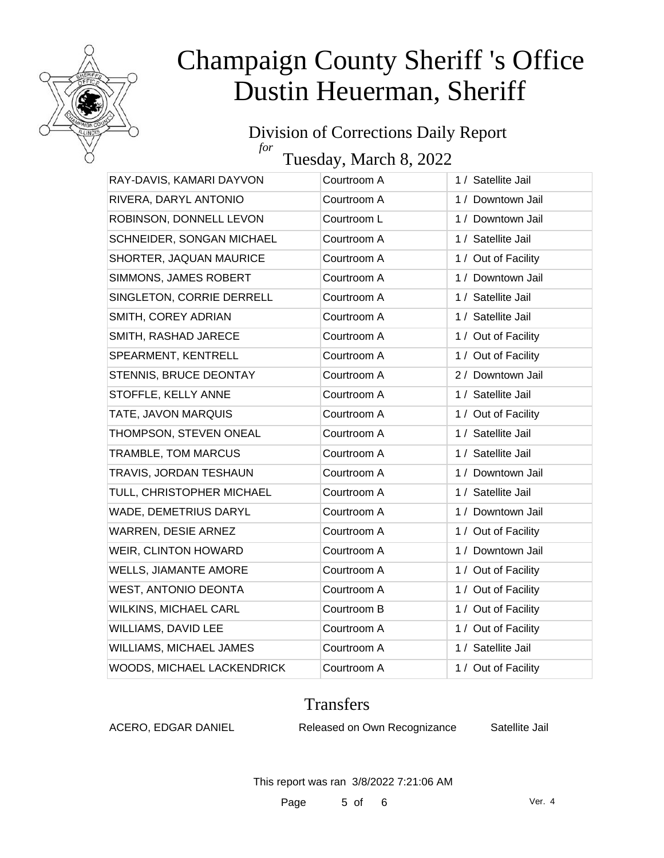

#### Division of Corrections Daily Report *for*

Tuesday, March 8, 2022

| RAY-DAVIS, KAMARI DAYVON     | Courtroom A | 1 / Satellite Jail  |
|------------------------------|-------------|---------------------|
| RIVERA, DARYL ANTONIO        | Courtroom A | 1 / Downtown Jail   |
| ROBINSON, DONNELL LEVON      | Courtroom L | 1 / Downtown Jail   |
| SCHNEIDER, SONGAN MICHAEL    | Courtroom A | 1 / Satellite Jail  |
| SHORTER, JAQUAN MAURICE      | Courtroom A | 1 / Out of Facility |
| SIMMONS, JAMES ROBERT        | Courtroom A | 1 / Downtown Jail   |
| SINGLETON, CORRIE DERRELL    | Courtroom A | 1 / Satellite Jail  |
| SMITH, COREY ADRIAN          | Courtroom A | 1 / Satellite Jail  |
| SMITH, RASHAD JARECE         | Courtroom A | 1 / Out of Facility |
| SPEARMENT, KENTRELL          | Courtroom A | 1 / Out of Facility |
| STENNIS, BRUCE DEONTAY       | Courtroom A | 2 / Downtown Jail   |
| STOFFLE, KELLY ANNE          | Courtroom A | 1 / Satellite Jail  |
| TATE, JAVON MARQUIS          | Courtroom A | 1 / Out of Facility |
| THOMPSON, STEVEN ONEAL       | Courtroom A | 1 / Satellite Jail  |
| <b>TRAMBLE, TOM MARCUS</b>   | Courtroom A | 1 / Satellite Jail  |
| TRAVIS, JORDAN TESHAUN       | Courtroom A | 1 / Downtown Jail   |
| TULL, CHRISTOPHER MICHAEL    | Courtroom A | 1 / Satellite Jail  |
| WADE, DEMETRIUS DARYL        | Courtroom A | 1 / Downtown Jail   |
| WARREN, DESIE ARNEZ          | Courtroom A | 1 / Out of Facility |
| WEIR, CLINTON HOWARD         | Courtroom A | 1 / Downtown Jail   |
| <b>WELLS, JIAMANTE AMORE</b> | Courtroom A | 1 / Out of Facility |
| <b>WEST, ANTONIO DEONTA</b>  | Courtroom A | 1 / Out of Facility |
| <b>WILKINS, MICHAEL CARL</b> | Courtroom B | 1 / Out of Facility |
| WILLIAMS, DAVID LEE          | Courtroom A | 1 / Out of Facility |
| WILLIAMS, MICHAEL JAMES      | Courtroom A | 1 / Satellite Jail  |
| WOODS, MICHAEL LACKENDRICK   | Courtroom A | 1 / Out of Facility |
|                              |             |                     |

#### Transfers

ACERO, EDGAR DANIEL Released on Own Recognizance Satellite Jail